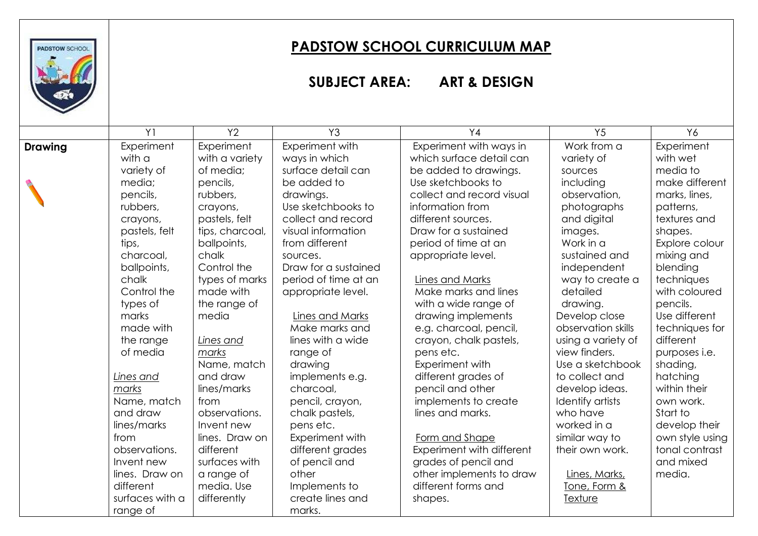

## **PADSTOW SCHOOL CURRICULUM MAP**

## **SUBJECT AREA: ART & DESIGN**

|                | Y <sub>1</sub>  | Y2              | Y3                   | Y <sub>4</sub>            | Y <sub>5</sub>     | Y6                   |
|----------------|-----------------|-----------------|----------------------|---------------------------|--------------------|----------------------|
| <b>Drawing</b> | Experiment      | Experiment      | Experiment with      | Experiment with ways in   | Work from a        | Experiment           |
|                | with a          | with a variety  | ways in which        | which surface detail can  | variety of         | with wet             |
|                | variety of      | of media;       | surface detail can   | be added to drawings.     | sources            | media to             |
|                | media;          | pencils,        | be added to          | Use sketchbooks to        | including          | make different       |
|                | pencils,        | rubbers,        | drawings.            | collect and record visual | observation,       | marks, lines,        |
|                | rubbers,        | crayons,        | Use sketchbooks to   | information from          | photographs        | patterns,            |
|                | crayons,        | pastels, felt   | collect and record   | different sources.        | and digital        | textures and         |
|                | pastels, felt   | tips, charcoal, | visual information   | Draw for a sustained      | images.            | shapes.              |
|                | tips,           | ballpoints,     | from different       | period of time at an      | Work in a          | Explore colour       |
|                | charcoal,       | chalk           | sources.             | appropriate level.        | sustained and      | mixing and           |
|                | ballpoints,     | Control the     | Draw for a sustained |                           | independent        | blending             |
|                | chalk           | types of marks  | period of time at an | Lines and Marks           | way to create a    | techniques           |
|                | Control the     | made with       | appropriate level.   | Make marks and lines      | detailed           | with coloured        |
|                | types of        | the range of    |                      | with a wide range of      | drawing.           | pencils.             |
|                | marks           | media           | Lines and Marks      | drawing implements        | Develop close      | Use different        |
|                | made with       |                 | Make marks and       | e.g. charcoal, pencil,    | observation skills | techniques for       |
|                | the range       | Lines and       | lines with a wide    | crayon, chalk pastels,    | using a variety of | different            |
|                | of media        | marks           | range of             | pens etc.                 | view finders.      | purposes <i>i.e.</i> |
|                |                 | Name, match     | drawing              | Experiment with           | Use a sketchbook   | shading,             |
|                | Lines and       | and draw        | implements e.g.      | different grades of       | to collect and     | hatching             |
|                | marks           | lines/marks     | charcoal,            | pencil and other          | develop ideas.     | within their         |
|                | Name, match     | from            | pencil, crayon,      | implements to create      | Identify artists   | own work.            |
|                | and draw        | observations.   | chalk pastels,       | lines and marks.          | who have           | Start to             |
|                | lines/marks     | Invent new      | pens etc.            |                           | worked in a        | develop their        |
|                | from            | lines. Draw on  | Experiment with      | Form and Shape            | similar way to     | own style using      |
|                | observations.   | different       | different grades     | Experiment with different | their own work.    | tonal contrast       |
|                | Invent new      | surfaces with   | of pencil and        | grades of pencil and      |                    | and mixed            |
|                | lines. Draw on  | a range of      | other                | other implements to draw  | Lines, Marks,      | media.               |
|                | different       | media. Use      | Implements to        | different forms and       | Tone, Form &       |                      |
|                | surfaces with a | differently     | create lines and     | shapes.                   | Texture            |                      |
|                | range of        |                 | marks.               |                           |                    |                      |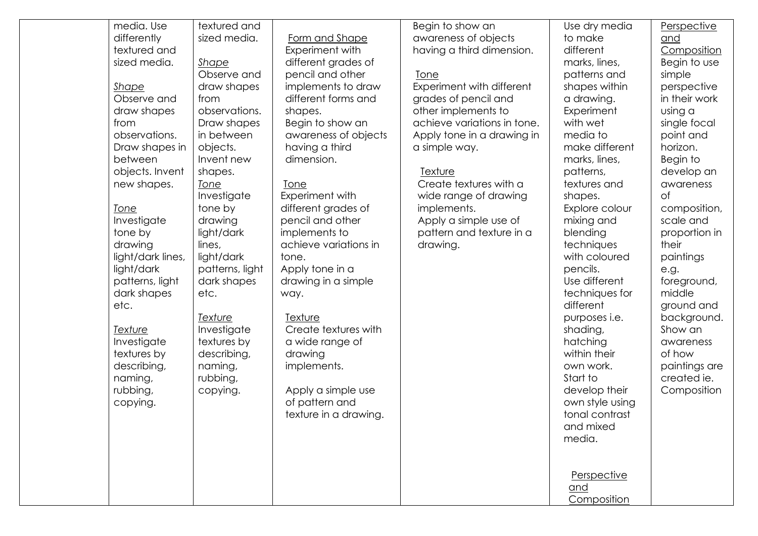| media. Use        | textured and    |                       | Begin to show an            | Use dry media        | Perspective   |
|-------------------|-----------------|-----------------------|-----------------------------|----------------------|---------------|
| differently       | sized media.    | Form and Shape        | awareness of objects        | to make              | and           |
| textured and      |                 | Experiment with       | having a third dimension.   | different            | Composition   |
| sized media.      | Shape           | different grades of   |                             | marks, lines,        | Begin to use  |
|                   | Observe and     | pencil and other      | <u>Tone</u>                 | patterns and         | simple        |
| <b>Shape</b>      | draw shapes     | implements to draw    | Experiment with different   | shapes within        | perspective   |
| Observe and       | from            | different forms and   | grades of pencil and        | a drawing.           | in their work |
| draw shapes       | observations.   | shapes.               | other implements to         | Experiment           | using a       |
| from              | Draw shapes     | Begin to show an      | achieve variations in tone. | with wet             | single focal  |
| observations.     | in between      | awareness of objects  | Apply tone in a drawing in  | media to             | point and     |
| Draw shapes in    | objects.        | having a third        | a simple way.               | make different       | horizon.      |
| between           | Invent new      | dimension.            |                             | marks, lines,        | Begin to      |
| objects. Invent   | shapes.         |                       | Texture                     | patterns,            | develop an    |
| new shapes.       | <b>Tone</b>     | <b>Tone</b>           | Create textures with a      | textures and         | awareness     |
|                   | Investigate     | Experiment with       | wide range of drawing       | shapes.              | of            |
| Tone              | tone by         | different grades of   | implements.                 | Explore colour       | composition,  |
| Investigate       | drawing         | pencil and other      | Apply a simple use of       | mixing and           | scale and     |
| tone by           | light/dark      | implements to         | pattern and texture in a    | blending             | proportion in |
| drawing           | lines,          | achieve variations in | drawing.                    | techniques           | their         |
| light/dark lines, | light/dark      | tone.                 |                             | with coloured        | paintings     |
| light/dark        | patterns, light | Apply tone in a       |                             | pencils.             | e.g.          |
| patterns, light   | dark shapes     | drawing in a simple   |                             | Use different        | foreground,   |
| dark shapes       | etc.            | way.                  |                             | techniques for       | middle        |
| etc.              |                 |                       |                             | different            | ground and    |
|                   | <u>Texture</u>  | Texture               |                             | purposes <i>i.e.</i> | background.   |
| <b>Texture</b>    | Investigate     | Create textures with  |                             | shading,             | Show an       |
| Investigate       | textures by     | a wide range of       |                             | hatching             | awareness     |
| textures by       | describing,     | drawing               |                             | within their         | of how        |
| describing,       | naming,         | implements.           |                             | own work.            | paintings are |
| naming,           | rubbing,        |                       |                             | Start to             | created ie.   |
| rubbing,          | copying.        | Apply a simple use    |                             | develop their        | Composition   |
| copying.          |                 | of pattern and        |                             | own style using      |               |
|                   |                 | texture in a drawing. |                             | tonal contrast       |               |
|                   |                 |                       |                             | and mixed            |               |
|                   |                 |                       |                             | media.               |               |
|                   |                 |                       |                             |                      |               |
|                   |                 |                       |                             |                      |               |
|                   |                 |                       |                             | Perspective          |               |
|                   |                 |                       |                             | and                  |               |
|                   |                 |                       |                             | Composition          |               |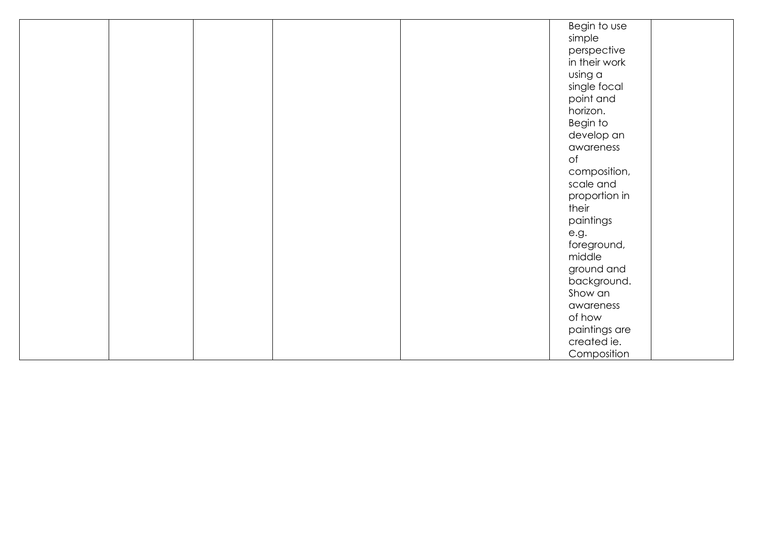|  |  | Begin to use  |
|--|--|---------------|
|  |  | simple        |
|  |  | perspective   |
|  |  | in their work |
|  |  | using a       |
|  |  | single focal  |
|  |  | point and     |
|  |  | horizon.      |
|  |  | Begin to      |
|  |  | develop an    |
|  |  | awareness     |
|  |  | of            |
|  |  | composition,  |
|  |  | scale and     |
|  |  | proportion in |
|  |  | their         |
|  |  | paintings     |
|  |  | e.g.          |
|  |  | foreground,   |
|  |  | middle        |
|  |  | ground and    |
|  |  | background.   |
|  |  | Show an       |
|  |  | awareness     |
|  |  | of how        |
|  |  | paintings are |
|  |  | created ie.   |
|  |  | Composition   |
|  |  |               |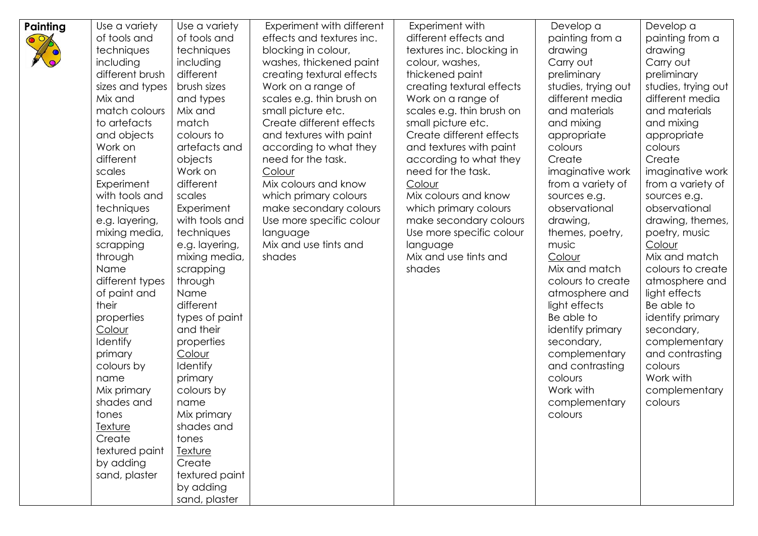| Painting | Use a variety   | Use a variety   | Experiment with different | Experiment with           | Develop a           | Develop a           |
|----------|-----------------|-----------------|---------------------------|---------------------------|---------------------|---------------------|
|          | of tools and    | of tools and    | effects and textures inc. | different effects and     | painting from a     | painting from a     |
|          | techniques      | techniques      | blocking in colour,       | textures inc. blocking in | drawing             | drawing             |
|          | including       | including       | washes, thickened paint   | colour, washes,           | Carry out           | Carry out           |
|          | different brush | different       | creating textural effects | thickened paint           | preliminary         | preliminary         |
|          | sizes and types | brush sizes     | Work on a range of        | creating textural effects | studies, trying out | studies, trying out |
|          | Mix and         | and types       | scales e.g. thin brush on | Work on a range of        | different media     | different media     |
|          | match colours   | Mix and         | small picture etc.        | scales e.g. thin brush on | and materials       | and materials       |
|          | to artefacts    | match           | Create different effects  | small picture etc.        | and mixing          | and mixing          |
|          | and objects     | colours to      | and textures with paint   | Create different effects  | appropriate         | appropriate         |
|          | Work on         | artefacts and   | according to what they    | and textures with paint   | colours             | colours             |
|          | different       | objects         | need for the task.        | according to what they    | Create              | Create              |
|          | scales          | Work on         | Colour                    | need for the task.        | imaginative work    | imaginative work    |
|          | Experiment      | different       | Mix colours and know      | Colour                    | from a variety of   | from a variety of   |
|          | with tools and  | scales          | which primary colours     | Mix colours and know      | sources e.g.        | sources e.g.        |
|          | techniques      | Experiment      | make secondary colours    | which primary colours     | observational       | observational       |
|          | e.g. layering,  | with tools and  | Use more specific colour  | make secondary colours    | drawing,            | drawing, themes,    |
|          | mixing media,   | techniques      | language                  | Use more specific colour  | themes, poetry,     | poetry, music       |
|          | scrapping       | e.g. layering,  | Mix and use tints and     | language                  | music               | Colour              |
|          | through         | mixing media,   | shades                    | Mix and use tints and     | Colour              | Mix and match       |
|          | Name            | scrapping       |                           | shades                    | Mix and match       | colours to create   |
|          | different types | through         |                           |                           | colours to create   | atmosphere and      |
|          | of paint and    | Name            |                           |                           | atmosphere and      | light effects       |
|          | their           | different       |                           |                           | light effects       | Be able to          |
|          | properties      | types of paint  |                           |                           | Be able to          | identify primary    |
|          | Colour          | and their       |                           |                           | identify primary    | secondary,          |
|          | <b>Identify</b> | properties      |                           |                           | secondary,          | complementary       |
|          | primary         | Colour          |                           |                           | complementary       | and contrasting     |
|          | colours by      | <b>Identify</b> |                           |                           | and contrasting     | colours             |
|          | name            | primary         |                           |                           | colours             | Work with           |
|          | Mix primary     | colours by      |                           |                           | Work with           | complementary       |
|          | shades and      | name            |                           |                           | complementary       | colours             |
|          | tones           | Mix primary     |                           |                           | colours             |                     |
|          | <u>Texture</u>  | shades and      |                           |                           |                     |                     |
|          | Create          | tones           |                           |                           |                     |                     |
|          | textured paint  | <b>Texture</b>  |                           |                           |                     |                     |
|          | by adding       | Create          |                           |                           |                     |                     |
|          | sand, plaster   | textured paint  |                           |                           |                     |                     |
|          |                 | by adding       |                           |                           |                     |                     |
|          |                 | sand, plaster   |                           |                           |                     |                     |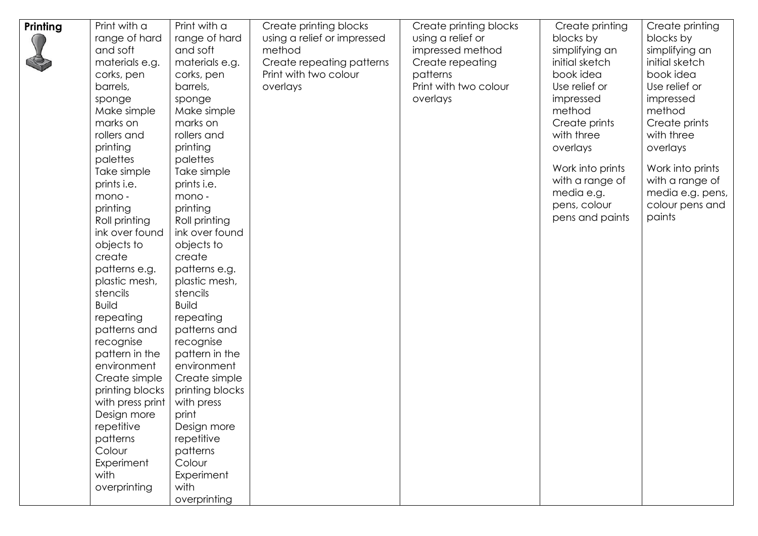| Printing | Print with a                | Print with a                | Create printing blocks      | Create printing blocks | Create printing  | Create printing  |
|----------|-----------------------------|-----------------------------|-----------------------------|------------------------|------------------|------------------|
|          | range of hard               | range of hard               | using a relief or impressed | using a relief or      | blocks by        | blocks by        |
|          | and soft                    | and soft                    | method                      | impressed method       | simplifying an   | simplifying an   |
|          | materials e.g.              | materials e.g.              | Create repeating patterns   | Create repeating       | initial sketch   | initial sketch   |
|          | corks, pen                  | corks, pen                  | Print with two colour       | patterns               | book idea        | book idea        |
|          | barrels,                    | barrels,                    | overlays                    | Print with two colour  | Use relief or    | Use relief or    |
|          | sponge                      | sponge                      |                             | overlays               | impressed        | impressed        |
|          | Make simple                 | Make simple                 |                             |                        | method           | method           |
|          | marks on                    | marks on                    |                             |                        | Create prints    | Create prints    |
|          | rollers and                 | rollers and                 |                             |                        | with three       | with three       |
|          | printing                    | printing                    |                             |                        | overlays         | overlays         |
|          | palettes                    | palettes                    |                             |                        |                  |                  |
|          | Take simple                 | Take simple                 |                             |                        | Work into prints | Work into prints |
|          | prints i.e.                 | prints i.e.                 |                             |                        | with a range of  | with a range of  |
|          | mono -                      | mono -                      |                             |                        | media e.g.       | media e.g. pens, |
|          | printing                    | printing                    |                             |                        | pens, colour     | colour pens and  |
|          | Roll printing               | Roll printing               |                             |                        | pens and paints  | paints           |
|          | ink over found              | ink over found              |                             |                        |                  |                  |
|          | objects to                  | objects to                  |                             |                        |                  |                  |
|          | create                      | create                      |                             |                        |                  |                  |
|          | patterns e.g.               | patterns e.g.               |                             |                        |                  |                  |
|          | plastic mesh,               | plastic mesh,               |                             |                        |                  |                  |
|          | stencils                    | stencils                    |                             |                        |                  |                  |
|          | <b>Build</b>                | <b>Build</b>                |                             |                        |                  |                  |
|          | repeating                   | repeating                   |                             |                        |                  |                  |
|          | patterns and                | patterns and                |                             |                        |                  |                  |
|          |                             |                             |                             |                        |                  |                  |
|          | recognise<br>pattern in the | recognise<br>pattern in the |                             |                        |                  |                  |
|          | environment                 | environment                 |                             |                        |                  |                  |
|          | Create simple               | Create simple               |                             |                        |                  |                  |
|          | printing blocks             | printing blocks             |                             |                        |                  |                  |
|          | with press print            | with press                  |                             |                        |                  |                  |
|          | Design more                 | print                       |                             |                        |                  |                  |
|          | repetitive                  | Design more                 |                             |                        |                  |                  |
|          | patterns                    | repetitive                  |                             |                        |                  |                  |
|          | Colour                      | patterns                    |                             |                        |                  |                  |
|          | Experiment                  | Colour                      |                             |                        |                  |                  |
|          | with                        | Experiment                  |                             |                        |                  |                  |
|          | overprinting                | with                        |                             |                        |                  |                  |
|          |                             | overprinting                |                             |                        |                  |                  |
|          |                             |                             |                             |                        |                  |                  |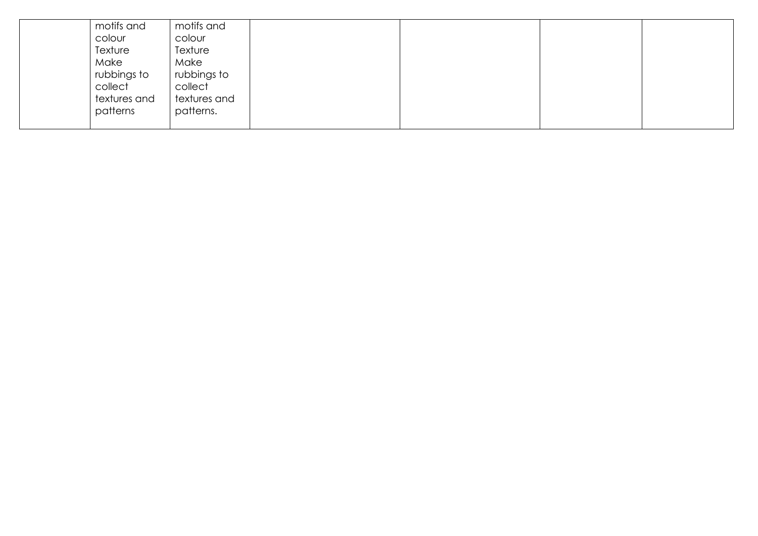| motifs and   | motifs and   |  |  |
|--------------|--------------|--|--|
| colour       | colour       |  |  |
| Texture      | Texture      |  |  |
| Make         | Make         |  |  |
| rubbings to  | rubbings to  |  |  |
| collect      | collect      |  |  |
| textures and | textures and |  |  |
| patterns     | patterns.    |  |  |
|              |              |  |  |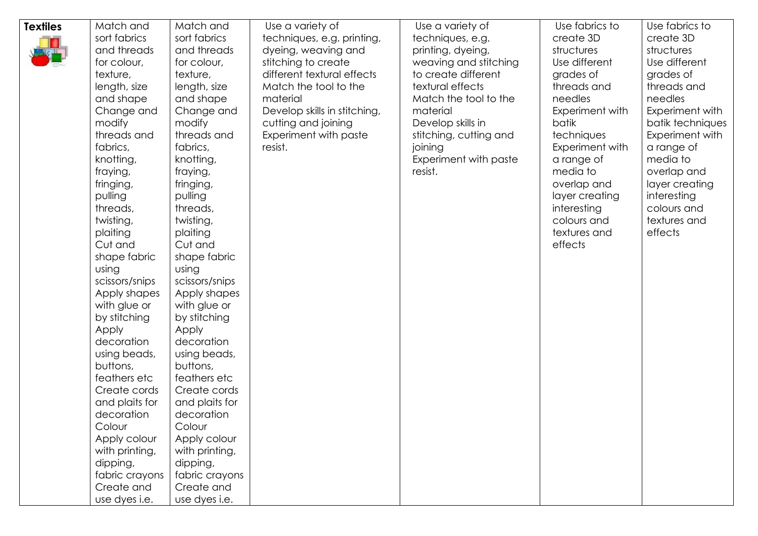| <b>Textiles</b> | Match and      | Match and      | Use a variety of             | Use a variety of       | Use fabrics to  | Use fabrics to   |
|-----------------|----------------|----------------|------------------------------|------------------------|-----------------|------------------|
|                 | sort fabrics   | sort fabrics   | techniques, e.g. printing,   | techniques, e.g.       | create 3D       | create 3D        |
|                 | and threads    | and threads    | dyeing, weaving and          | printing, dyeing,      | structures      | structures       |
|                 | for colour,    | for colour,    | stitching to create          | weaving and stitching  | Use different   | Use different    |
|                 | texture,       | texture,       | different textural effects   | to create different    | grades of       | grades of        |
|                 | length, size   | length, size   | Match the tool to the        | textural effects       | threads and     | threads and      |
|                 | and shape      | and shape      | material                     | Match the tool to the  | needles         | needles          |
|                 | Change and     | Change and     | Develop skills in stitching, | material               | Experiment with | Experiment with  |
|                 | modify         | modify         | cutting and joining          | Develop skills in      | batik           | batik techniques |
|                 | threads and    | threads and    | Experiment with paste        | stitching, cutting and | techniques      | Experiment with  |
|                 | fabrics,       | fabrics,       | resist.                      | joining                | Experiment with | a range of       |
|                 | knotting,      | knotting,      |                              | Experiment with paste  | a range of      | media to         |
|                 | fraying,       | fraying,       |                              | resist.                | media to        | overlap and      |
|                 | fringing,      | fringing,      |                              |                        | overlap and     | layer creating   |
|                 | pulling        | pulling        |                              |                        | layer creating  | interesting      |
|                 | threads,       | threads,       |                              |                        | interesting     | colours and      |
|                 | twisting,      | twisting,      |                              |                        | colours and     | textures and     |
|                 | plaiting       | plaiting       |                              |                        | textures and    | effects          |
|                 | Cut and        | Cut and        |                              |                        | effects         |                  |
|                 | shape fabric   | shape fabric   |                              |                        |                 |                  |
|                 | using          | using          |                              |                        |                 |                  |
|                 | scissors/snips | scissors/snips |                              |                        |                 |                  |
|                 | Apply shapes   | Apply shapes   |                              |                        |                 |                  |
|                 | with glue or   | with glue or   |                              |                        |                 |                  |
|                 | by stitching   | by stitching   |                              |                        |                 |                  |
|                 | Apply          | Apply          |                              |                        |                 |                  |
|                 | decoration     | decoration     |                              |                        |                 |                  |
|                 | using beads,   | using beads,   |                              |                        |                 |                  |
|                 | buttons,       | buttons,       |                              |                        |                 |                  |
|                 | feathers etc   | feathers etc   |                              |                        |                 |                  |
|                 | Create cords   | Create cords   |                              |                        |                 |                  |
|                 | and plaits for | and plaits for |                              |                        |                 |                  |
|                 | decoration     | decoration     |                              |                        |                 |                  |
|                 | Colour         | Colour         |                              |                        |                 |                  |
|                 | Apply colour   | Apply colour   |                              |                        |                 |                  |
|                 | with printing, | with printing, |                              |                        |                 |                  |
|                 | dipping,       | dipping,       |                              |                        |                 |                  |
|                 | fabric crayons | fabric crayons |                              |                        |                 |                  |
|                 | Create and     | Create and     |                              |                        |                 |                  |
|                 | use dyes i.e.  | use dyes i.e.  |                              |                        |                 |                  |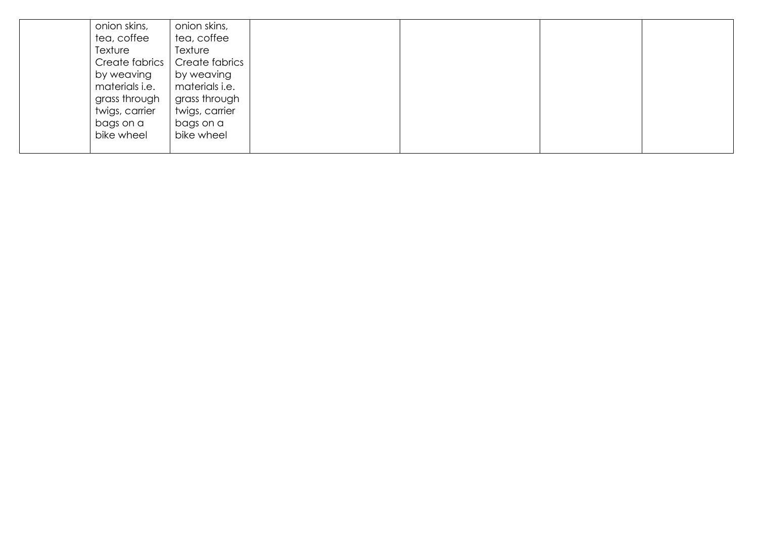| onion skins,   | onion skins,   |  |  |
|----------------|----------------|--|--|
| tea, coffee    | tea, coffee    |  |  |
| Texture        | Texture        |  |  |
| Create fabrics | Create fabrics |  |  |
| by weaving     | by weaving     |  |  |
| materials i.e. | materials i.e. |  |  |
| grass through  | grass through  |  |  |
| twigs, carrier | twigs, carrier |  |  |
| bags on a      | bags on a      |  |  |
| bike wheel     | bike wheel     |  |  |
|                |                |  |  |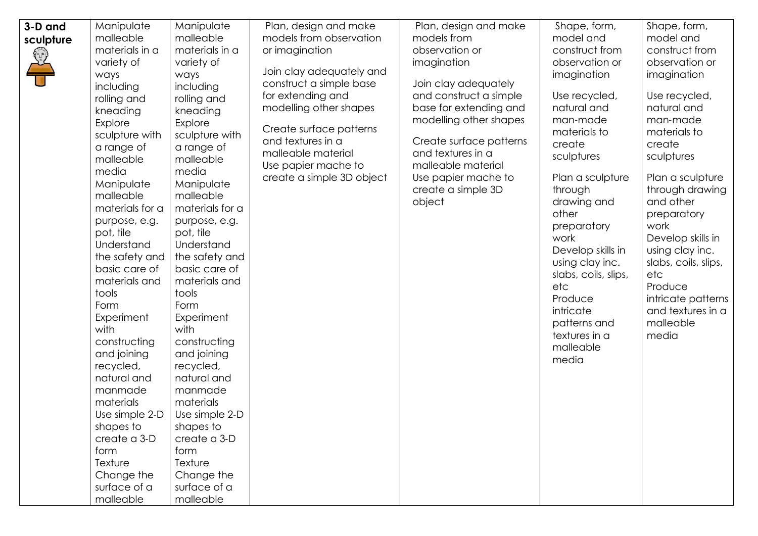| 3-D and<br>Manipulate<br>Shape, form,<br>Shape, form,<br>Manipulate<br>Plan, design and make<br>Plan, design and make<br>malleable<br>malleable<br>models from observation<br>models from<br>model and<br>model and<br>sculpture<br>construct from<br>materials in a<br>materials in a<br>observation or<br>construct from<br>or imagination<br>S<br>observation or<br>observation or<br>variety of<br>variety of<br>imagination<br>Join clay adequately and<br>ways<br>imagination<br>imagination<br>ways<br>construct a simple base<br>Join clay adequately<br>including<br>including<br>for extending and<br>and construct a simple<br>Use recycled,<br>Use recycled,<br>rolling and<br>rolling and<br>natural and<br>natural and<br>modelling other shapes<br>base for extending and<br>kneading<br>kneading<br>man-made<br>modelling other shapes<br>man-made<br>Explore<br>Explore<br>Create surface patterns<br>materials to<br>materials to<br>sculpture with<br>sculpture with<br>and textures in a<br>Create surface patterns<br>create<br>create<br>a range of<br>a range of<br>malleable material<br>and textures in a<br>sculptures<br>sculptures<br>malleable<br>malleable<br>malleable material<br>Use papier mache to<br>media<br>media<br>create a simple 3D object<br>Plan a sculpture<br>Plan a sculpture<br>Use papier mache to<br>Manipulate<br>Manipulate<br>create a simple 3D<br>through<br>through drawing<br>malleable<br>malleable<br>and other<br>object<br>drawing and<br>materials for a<br>materials for a<br>other<br>preparatory<br>purpose, e.g.<br>purpose, e.g.<br>work<br>preparatory<br>pot, tile<br>pot, tile<br>work<br>Develop skills in<br>Understand<br>Understand<br>Develop skills in<br>using clay inc.<br>the safety and<br>the safety and<br>using clay inc.<br>slabs, coils, slips,<br>basic care of<br>basic care of<br>slabs, coils, slips,<br>etc<br>materials and<br>materials and<br>Produce<br>etc<br>tools<br>tools<br>intricate patterns<br>Produce<br>Form<br>Form<br>and textures in a<br>intricate<br>Experiment<br>Experiment<br>malleable<br>patterns and<br>with<br>with<br>textures in a<br>media<br>constructing<br>constructing<br>malleable<br>and joining<br>and joining<br>media<br>recycled,<br>recycled,<br>natural and<br>natural and<br>manmade<br>manmade<br>materials<br>materials<br>Use simple 2-D<br>Use simple 2-D<br>shapes to<br>shapes to<br>create a 3-D<br>create a 3-D<br>form<br>form<br>Texture<br>Texture |
|---------------------------------------------------------------------------------------------------------------------------------------------------------------------------------------------------------------------------------------------------------------------------------------------------------------------------------------------------------------------------------------------------------------------------------------------------------------------------------------------------------------------------------------------------------------------------------------------------------------------------------------------------------------------------------------------------------------------------------------------------------------------------------------------------------------------------------------------------------------------------------------------------------------------------------------------------------------------------------------------------------------------------------------------------------------------------------------------------------------------------------------------------------------------------------------------------------------------------------------------------------------------------------------------------------------------------------------------------------------------------------------------------------------------------------------------------------------------------------------------------------------------------------------------------------------------------------------------------------------------------------------------------------------------------------------------------------------------------------------------------------------------------------------------------------------------------------------------------------------------------------------------------------------------------------------------------------------------------------------------------------------------------------------------------------------------------------------------------------------------------------------------------------------------------------------------------------------------------------------------------------------------------------------------------------------------------------------------------------------------------------------------------------------------------------------------------------------------------------------------------|
| Change the<br>Change the<br>surface of a<br>surface of a<br>malleable<br>malleable                                                                                                                                                                                                                                                                                                                                                                                                                                                                                                                                                                                                                                                                                                                                                                                                                                                                                                                                                                                                                                                                                                                                                                                                                                                                                                                                                                                                                                                                                                                                                                                                                                                                                                                                                                                                                                                                                                                                                                                                                                                                                                                                                                                                                                                                                                                                                                                                                |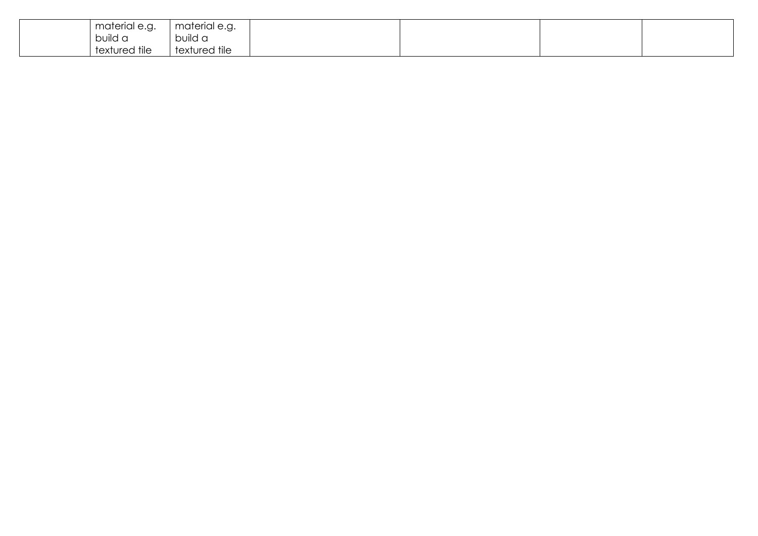| material e.g. | material e.g. |
|---------------|---------------|
| build a       | build a       |
| textured tile | textured tile |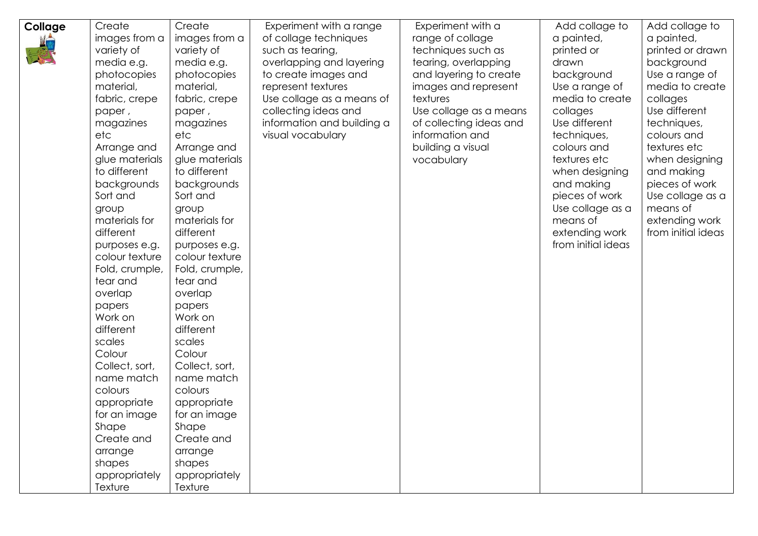| Collage | Create         | Create         | Experiment with a range    | Experiment with a       | Add collage to     | Add collage to     |
|---------|----------------|----------------|----------------------------|-------------------------|--------------------|--------------------|
|         | images from a  | images from a  | of collage techniques      | range of collage        | a painted,         | a painted,         |
|         | variety of     | variety of     | such as tearing,           | techniques such as      | printed or         | printed or drawn   |
|         | media e.g.     | media e.g.     | overlapping and layering   | tearing, overlapping    | drawn              | background         |
|         | photocopies    | photocopies    | to create images and       | and layering to create  | background         | Use a range of     |
|         | material,      | material,      | represent textures         | images and represent    | Use a range of     | media to create    |
|         | fabric, crepe  | fabric, crepe  | Use collage as a means of  | textures                | media to create    | collages           |
|         | paper,         | paper,         | collecting ideas and       | Use collage as a means  | collages           | Use different      |
|         | magazines      | magazines      | information and building a | of collecting ideas and | Use different      | techniques,        |
|         | etc            | etc            | visual vocabulary          | information and         | techniques,        | colours and        |
|         | Arrange and    | Arrange and    |                            | building a visual       | colours and        | textures etc       |
|         | glue materials | glue materials |                            | vocabulary              | textures etc       | when designing     |
|         | to different   | to different   |                            |                         | when designing     | and making         |
|         | backgrounds    | backgrounds    |                            |                         | and making         | pieces of work     |
|         | Sort and       | Sort and       |                            |                         | pieces of work     | Use collage as a   |
|         | group          | group          |                            |                         | Use collage as a   | means of           |
|         | materials for  | materials for  |                            |                         | means of           | extending work     |
|         | different      | different      |                            |                         | extending work     | from initial ideas |
|         | purposes e.g.  | purposes e.g.  |                            |                         | from initial ideas |                    |
|         | colour texture | colour texture |                            |                         |                    |                    |
|         | Fold, crumple, | Fold, crumple, |                            |                         |                    |                    |
|         | tear and       | tear and       |                            |                         |                    |                    |
|         | overlap        | overlap        |                            |                         |                    |                    |
|         | papers         | papers         |                            |                         |                    |                    |
|         | Work on        | Work on        |                            |                         |                    |                    |
|         | different      | different      |                            |                         |                    |                    |
|         | scales         | scales         |                            |                         |                    |                    |
|         | Colour         | Colour         |                            |                         |                    |                    |
|         | Collect, sort, | Collect, sort, |                            |                         |                    |                    |
|         | name match     | name match     |                            |                         |                    |                    |
|         | colours        | colours        |                            |                         |                    |                    |
|         | appropriate    | appropriate    |                            |                         |                    |                    |
|         | for an image   | for an image   |                            |                         |                    |                    |
|         | Shape          | Shape          |                            |                         |                    |                    |
|         | Create and     | Create and     |                            |                         |                    |                    |
|         | arrange        | arrange        |                            |                         |                    |                    |
|         | shapes         | shapes         |                            |                         |                    |                    |
|         | appropriately  | appropriately  |                            |                         |                    |                    |
|         | Texture        | Texture        |                            |                         |                    |                    |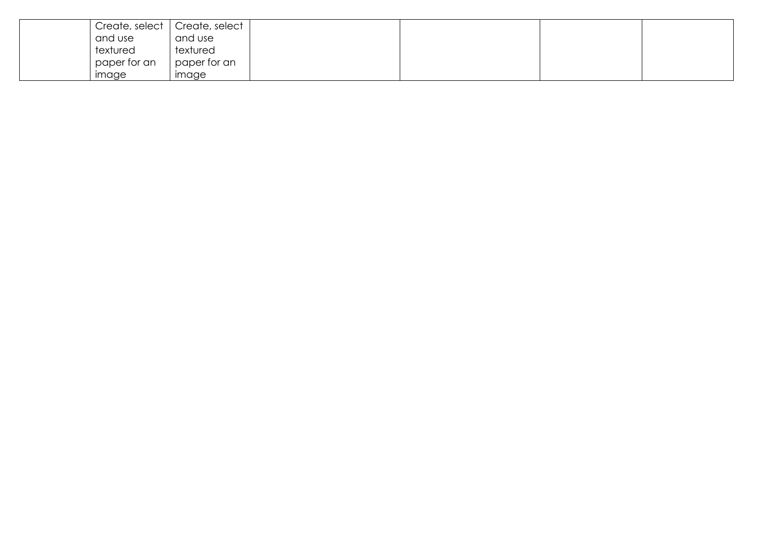|              | Create, select   Create, select |
|--------------|---------------------------------|
| and use      | and use                         |
| textured     | textured                        |
| paper for an | paper for an                    |
| image        | image                           |